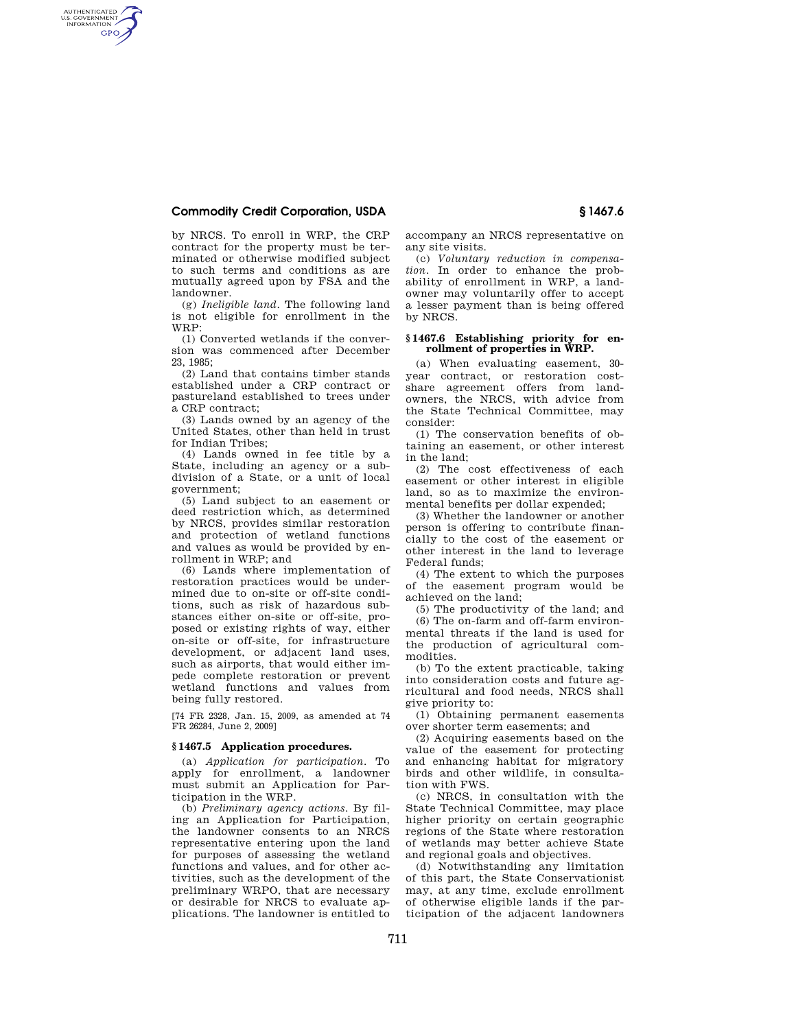## **Commodity Credit Corporation, USDA § 1467.6**

AUTHENTICATED<br>U.S. GOVERNMENT<br>INFORMATION **GPO** 

> by NRCS. To enroll in WRP, the CRP contract for the property must be terminated or otherwise modified subject to such terms and conditions as are mutually agreed upon by FSA and the landowner.

> (g) *Ineligible land*. The following land is not eligible for enrollment in the WRP:

> (1) Converted wetlands if the conversion was commenced after December 23, 1985;

> (2) Land that contains timber stands established under a CRP contract or pastureland established to trees under a CRP contract;

> (3) Lands owned by an agency of the United States, other than held in trust for Indian Tribes;

> (4) Lands owned in fee title by a State, including an agency or a subdivision of a State, or a unit of local government;

> (5) Land subject to an easement or deed restriction which, as determined by NRCS, provides similar restoration and protection of wetland functions and values as would be provided by enrollment in WRP; and

> (6) Lands where implementation of restoration practices would be undermined due to on-site or off-site conditions, such as risk of hazardous substances either on-site or off-site, proposed or existing rights of way, either on-site or off-site, for infrastructure development, or adjacent land uses, such as airports, that would either impede complete restoration or prevent wetland functions and values from being fully restored.

> [74 FR 2328, Jan. 15, 2009, as amended at 74 FR 26284, June 2, 2009]

## **§ 1467.5 Application procedures.**

(a) *Application for participation*. To apply for enrollment, a landowner must submit an Application for Participation in the WRP.

(b) *Preliminary agency actions*. By filing an Application for Participation, the landowner consents to an NRCS representative entering upon the land for purposes of assessing the wetland functions and values, and for other activities, such as the development of the preliminary WRPO, that are necessary or desirable for NRCS to evaluate applications. The landowner is entitled to accompany an NRCS representative on any site visits.

(c) *Voluntary reduction in compensation*. In order to enhance the probability of enrollment in WRP, a landowner may voluntarily offer to accept a lesser payment than is being offered by NRCS.

## **§ 1467.6 Establishing priority for enrollment of properties in WRP.**

(a) When evaluating easement, 30 year contract, or restoration costshare agreement offers from landowners, the NRCS, with advice from the State Technical Committee, may consider:

(1) The conservation benefits of obtaining an easement, or other interest in the land;

(2) The cost effectiveness of each easement or other interest in eligible land, so as to maximize the environmental benefits per dollar expended;

(3) Whether the landowner or another person is offering to contribute financially to the cost of the easement or other interest in the land to leverage Federal funds;

(4) The extent to which the purposes of the easement program would be achieved on the land;

(5) The productivity of the land; and (6) The on-farm and off-farm environmental threats if the land is used for the production of agricultural commodities.

(b) To the extent practicable, taking into consideration costs and future agricultural and food needs, NRCS shall give priority to:

(1) Obtaining permanent easements over shorter term easements; and

(2) Acquiring easements based on the value of the easement for protecting and enhancing habitat for migratory birds and other wildlife, in consultation with FWS.

(c) NRCS, in consultation with the State Technical Committee, may place higher priority on certain geographic regions of the State where restoration of wetlands may better achieve State and regional goals and objectives.

(d) Notwithstanding any limitation of this part, the State Conservationist may, at any time, exclude enrollment of otherwise eligible lands if the participation of the adjacent landowners